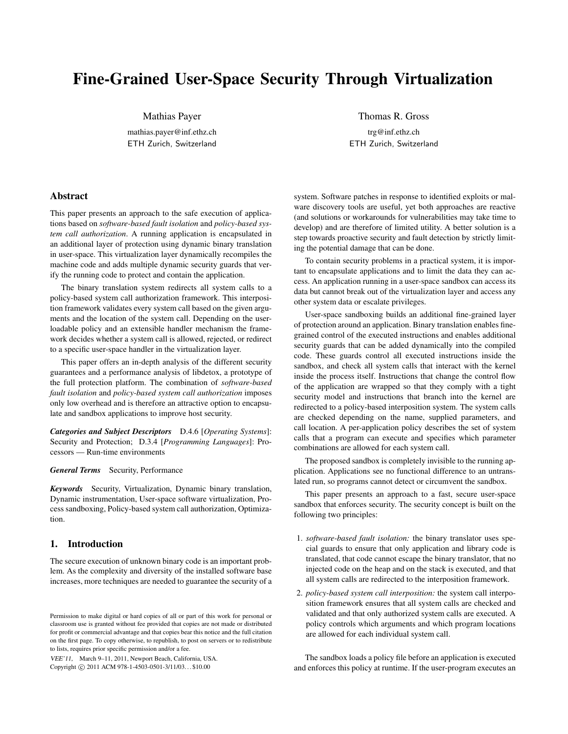# Fine-Grained User-Space Security Through Virtualization

Mathias Payer

mathias.payer@inf.ethz.ch ETH Zurich, Switzerland

Thomas R. Gross

trg@inf.ethz.ch ETH Zurich, Switzerland

# Abstract

This paper presents an approach to the safe execution of applications based on *software-based fault isolation* and *policy-based system call authorization*. A running application is encapsulated in an additional layer of protection using dynamic binary translation in user-space. This virtualization layer dynamically recompiles the machine code and adds multiple dynamic security guards that verify the running code to protect and contain the application.

The binary translation system redirects all system calls to a policy-based system call authorization framework. This interposition framework validates every system call based on the given arguments and the location of the system call. Depending on the userloadable policy and an extensible handler mechanism the framework decides whether a system call is allowed, rejected, or redirect to a specific user-space handler in the virtualization layer.

This paper offers an in-depth analysis of the different security guarantees and a performance analysis of libdetox, a prototype of the full protection platform. The combination of *software-based fault isolation* and *policy-based system call authorization* imposes only low overhead and is therefore an attractive option to encapsulate and sandbox applications to improve host security.

*Categories and Subject Descriptors* D.4.6 [*Operating Systems*]: Security and Protection; D.3.4 [*Programming Languages*]: Processors — Run-time environments

*General Terms* Security, Performance

*Keywords* Security, Virtualization, Dynamic binary translation, Dynamic instrumentation, User-space software virtualization, Process sandboxing, Policy-based system call authorization, Optimization.

# 1. Introduction

The secure execution of unknown binary code is an important problem. As the complexity and diversity of the installed software base increases, more techniques are needed to guarantee the security of a

VEE'11, March 9–11, 2011, Newport Beach, California, USA. Copyright © 2011 ACM 978-1-4503-0501-3/11/03... \$10.00

system. Software patches in response to identified exploits or malware discovery tools are useful, yet both approaches are reactive (and solutions or workarounds for vulnerabilities may take time to develop) and are therefore of limited utility. A better solution is a step towards proactive security and fault detection by strictly limiting the potential damage that can be done.

To contain security problems in a practical system, it is important to encapsulate applications and to limit the data they can access. An application running in a user-space sandbox can access its data but cannot break out of the virtualization layer and access any other system data or escalate privileges.

User-space sandboxing builds an additional fine-grained layer of protection around an application. Binary translation enables finegrained control of the executed instructions and enables additional security guards that can be added dynamically into the compiled code. These guards control all executed instructions inside the sandbox, and check all system calls that interact with the kernel inside the process itself. Instructions that change the control flow of the application are wrapped so that they comply with a tight security model and instructions that branch into the kernel are redirected to a policy-based interposition system. The system calls are checked depending on the name, supplied parameters, and call location. A per-application policy describes the set of system calls that a program can execute and specifies which parameter combinations are allowed for each system call.

The proposed sandbox is completely invisible to the running application. Applications see no functional difference to an untranslated run, so programs cannot detect or circumvent the sandbox.

This paper presents an approach to a fast, secure user-space sandbox that enforces security. The security concept is built on the following two principles:

- 1. *software-based fault isolation:* the binary translator uses special guards to ensure that only application and library code is translated, that code cannot escape the binary translator, that no injected code on the heap and on the stack is executed, and that all system calls are redirected to the interposition framework.
- 2. *policy-based system call interposition:* the system call interposition framework ensures that all system calls are checked and validated and that only authorized system calls are executed. A policy controls which arguments and which program locations are allowed for each individual system call.

The sandbox loads a policy file before an application is executed and enforces this policy at runtime. If the user-program executes an

Permission to make digital or hard copies of all or part of this work for personal or classroom use is granted without fee provided that copies are not made or distributed for profit or commercial advantage and that copies bear this notice and the full citation on the first page. To copy otherwise, to republish, to post on servers or to redistribute to lists, requires prior specific permission and/or a fee.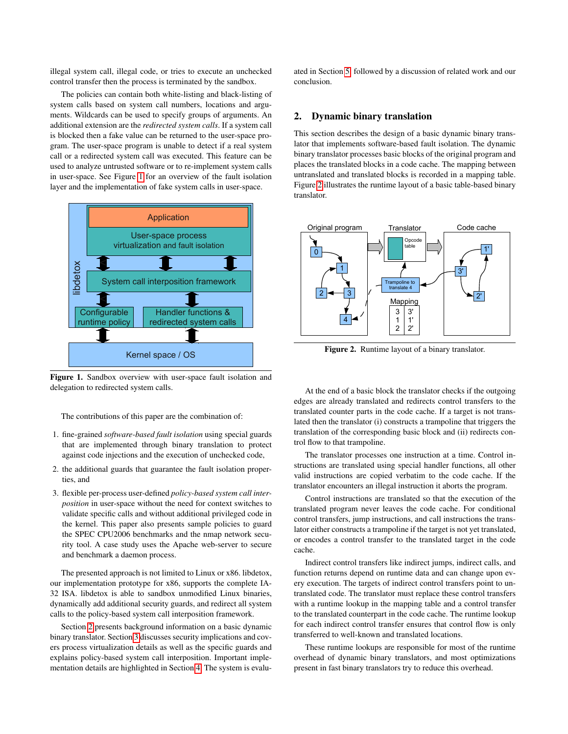illegal system call, illegal code, or tries to execute an unchecked control transfer then the process is terminated by the sandbox.

The policies can contain both white-listing and black-listing of system calls based on system call numbers, locations and arguments. Wildcards can be used to specify groups of arguments. An additional extension are the *redirected system calls*. If a system call is blocked then a fake value can be returned to the user-space program. The user-space program is unable to detect if a real system call or a redirected system call was executed. This feature can be used to analyze untrusted software or to re-implement system calls in user-space. See Figure [1](#page-1-0) for an overview of the fault isolation layer and the implementation of fake system calls in user-space.



<span id="page-1-0"></span>Figure 1. Sandbox overview with user-space fault isolation and delegation to redirected system calls.

The contributions of this paper are the combination of:

- 1. fine-grained *software-based fault isolation* using special guards that are implemented through binary translation to protect against code injections and the execution of unchecked code,
- 2. the additional guards that guarantee the fault isolation properties, and
- 3. flexible per-process user-defined *policy-based system call interposition* in user-space without the need for context switches to validate specific calls and without additional privileged code in the kernel. This paper also presents sample policies to guard the SPEC CPU2006 benchmarks and the nmap network security tool. A case study uses the Apache web-server to secure and benchmark a daemon process.

The presented approach is not limited to Linux or x86. libdetox, our implementation prototype for x86, supports the complete IA-32 ISA. libdetox is able to sandbox unmodified Linux binaries, dynamically add additional security guards, and redirect all system calls to the policy-based system call interposition framework.

Section [2](#page-1-1) presents background information on a basic dynamic binary translator. Section [3](#page-2-0) discusses security implications and covers process virtualization details as well as the specific guards and explains policy-based system call interposition. Important implementation details are highlighted in Section [4.](#page-5-0) The system is evaluated in Section [5,](#page-6-0) followed by a discussion of related work and our conclusion.

# <span id="page-1-1"></span>2. Dynamic binary translation

This section describes the design of a basic dynamic binary translator that implements software-based fault isolation. The dynamic binary translator processes basic blocks of the original program and places the translated blocks in a code cache. The mapping between untranslated and translated blocks is recorded in a mapping table. Figure [2](#page-1-2) illustrates the runtime layout of a basic table-based binary translator.



<span id="page-1-2"></span>Figure 2. Runtime layout of a binary translator.

At the end of a basic block the translator checks if the outgoing edges are already translated and redirects control transfers to the translated counter parts in the code cache. If a target is not translated then the translator (i) constructs a trampoline that triggers the translation of the corresponding basic block and (ii) redirects control flow to that trampoline.

The translator processes one instruction at a time. Control instructions are translated using special handler functions, all other valid instructions are copied verbatim to the code cache. If the translator encounters an illegal instruction it aborts the program.

Control instructions are translated so that the execution of the translated program never leaves the code cache. For conditional control transfers, jump instructions, and call instructions the translator either constructs a trampoline if the target is not yet translated, or encodes a control transfer to the translated target in the code cache.

Indirect control transfers like indirect jumps, indirect calls, and function returns depend on runtime data and can change upon every execution. The targets of indirect control transfers point to untranslated code. The translator must replace these control transfers with a runtime lookup in the mapping table and a control transfer to the translated counterpart in the code cache. The runtime lookup for each indirect control transfer ensures that control flow is only transferred to well-known and translated locations.

These runtime lookups are responsible for most of the runtime overhead of dynamic binary translators, and most optimizations present in fast binary translators try to reduce this overhead.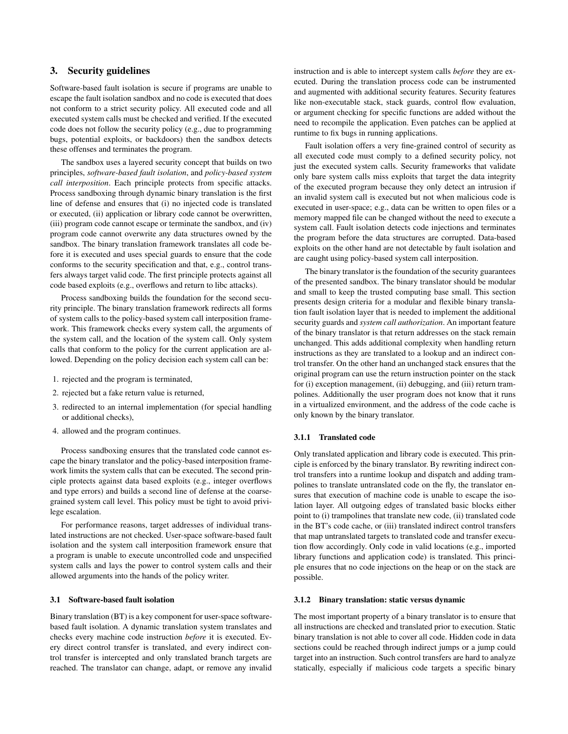# <span id="page-2-0"></span>3. Security guidelines

Software-based fault isolation is secure if programs are unable to escape the fault isolation sandbox and no code is executed that does not conform to a strict security policy. All executed code and all executed system calls must be checked and verified. If the executed code does not follow the security policy (e.g., due to programming bugs, potential exploits, or backdoors) then the sandbox detects these offenses and terminates the program.

The sandbox uses a layered security concept that builds on two principles, *software-based fault isolation*, and *policy-based system call interposition*. Each principle protects from specific attacks. Process sandboxing through dynamic binary translation is the first line of defense and ensures that (i) no injected code is translated or executed, (ii) application or library code cannot be overwritten, (iii) program code cannot escape or terminate the sandbox, and (iv) program code cannot overwrite any data structures owned by the sandbox. The binary translation framework translates all code before it is executed and uses special guards to ensure that the code conforms to the security specification and that, e.g., control transfers always target valid code. The first principle protects against all code based exploits (e.g., overflows and return to libc attacks).

Process sandboxing builds the foundation for the second security principle. The binary translation framework redirects all forms of system calls to the policy-based system call interposition framework. This framework checks every system call, the arguments of the system call, and the location of the system call. Only system calls that conform to the policy for the current application are allowed. Depending on the policy decision each system call can be:

- 1. rejected and the program is terminated,
- 2. rejected but a fake return value is returned,
- 3. redirected to an internal implementation (for special handling or additional checks),
- 4. allowed and the program continues.

Process sandboxing ensures that the translated code cannot escape the binary translator and the policy-based interposition framework limits the system calls that can be executed. The second principle protects against data based exploits (e.g., integer overflows and type errors) and builds a second line of defense at the coarsegrained system call level. This policy must be tight to avoid privilege escalation.

For performance reasons, target addresses of individual translated instructions are not checked. User-space software-based fault isolation and the system call interposition framework ensure that a program is unable to execute uncontrolled code and unspecified system calls and lays the power to control system calls and their allowed arguments into the hands of the policy writer.

#### 3.1 Software-based fault isolation

Binary translation (BT) is a key component for user-space softwarebased fault isolation. A dynamic translation system translates and checks every machine code instruction *before* it is executed. Every direct control transfer is translated, and every indirect control transfer is intercepted and only translated branch targets are reached. The translator can change, adapt, or remove any invalid instruction and is able to intercept system calls *before* they are executed. During the translation process code can be instrumented and augmented with additional security features. Security features like non-executable stack, stack guards, control flow evaluation, or argument checking for specific functions are added without the need to recompile the application. Even patches can be applied at runtime to fix bugs in running applications.

Fault isolation offers a very fine-grained control of security as all executed code must comply to a defined security policy, not just the executed system calls. Security frameworks that validate only bare system calls miss exploits that target the data integrity of the executed program because they only detect an intrusion if an invalid system call is executed but not when malicious code is executed in user-space; e.g., data can be written to open files or a memory mapped file can be changed without the need to execute a system call. Fault isolation detects code injections and terminates the program before the data structures are corrupted. Data-based exploits on the other hand are not detectable by fault isolation and are caught using policy-based system call interposition.

The binary translator is the foundation of the security guarantees of the presented sandbox. The binary translator should be modular and small to keep the trusted computing base small. This section presents design criteria for a modular and flexible binary translation fault isolation layer that is needed to implement the additional security guards and *system call authorization*. An important feature of the binary translator is that return addresses on the stack remain unchanged. This adds additional complexity when handling return instructions as they are translated to a lookup and an indirect control transfer. On the other hand an unchanged stack ensures that the original program can use the return instruction pointer on the stack for (i) exception management, (ii) debugging, and (iii) return trampolines. Additionally the user program does not know that it runs in a virtualized environment, and the address of the code cache is only known by the binary translator.

## 3.1.1 Translated code

Only translated application and library code is executed. This principle is enforced by the binary translator. By rewriting indirect control transfers into a runtime lookup and dispatch and adding trampolines to translate untranslated code on the fly, the translator ensures that execution of machine code is unable to escape the isolation layer. All outgoing edges of translated basic blocks either point to (i) trampolines that translate new code, (ii) translated code in the BT's code cache, or (iii) translated indirect control transfers that map untranslated targets to translated code and transfer execution flow accordingly. Only code in valid locations (e.g., imported library functions and application code) is translated. This principle ensures that no code injections on the heap or on the stack are possible.

#### 3.1.2 Binary translation: static versus dynamic

The most important property of a binary translator is to ensure that all instructions are checked and translated prior to execution. Static binary translation is not able to cover all code. Hidden code in data sections could be reached through indirect jumps or a jump could target into an instruction. Such control transfers are hard to analyze statically, especially if malicious code targets a specific binary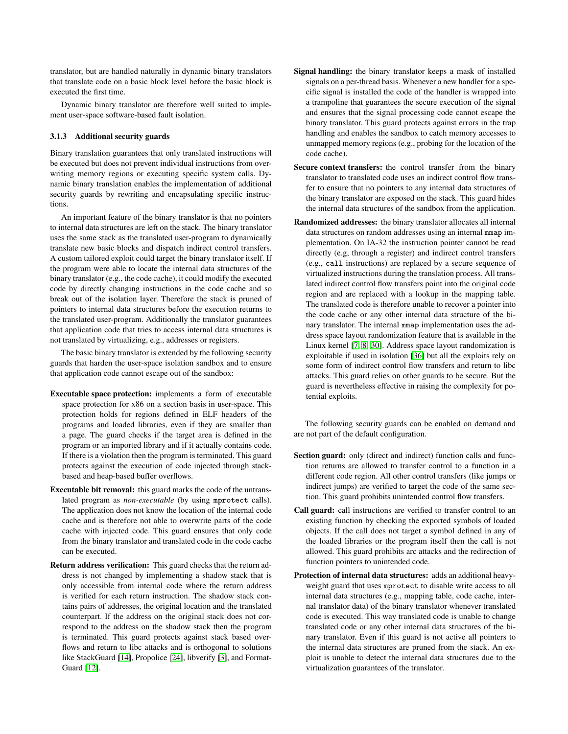translator, but are handled naturally in dynamic binary translators that translate code on a basic block level before the basic block is executed the first time.

Dynamic binary translator are therefore well suited to implement user-space software-based fault isolation.

# <span id="page-3-0"></span>3.1.3 Additional security guards

Binary translation guarantees that only translated instructions will be executed but does not prevent individual instructions from overwriting memory regions or executing specific system calls. Dynamic binary translation enables the implementation of additional security guards by rewriting and encapsulating specific instructions.

An important feature of the binary translator is that no pointers to internal data structures are left on the stack. The binary translator uses the same stack as the translated user-program to dynamically translate new basic blocks and dispatch indirect control transfers. A custom tailored exploit could target the binary translator itself. If the program were able to locate the internal data structures of the binary translator (e.g., the code cache), it could modify the executed code by directly changing instructions in the code cache and so break out of the isolation layer. Therefore the stack is pruned of pointers to internal data structures before the execution returns to the translated user-program. Additionally the translator guarantees that application code that tries to access internal data structures is not translated by virtualizing, e.g., addresses or registers.

The basic binary translator is extended by the following security guards that harden the user-space isolation sandbox and to ensure that application code cannot escape out of the sandbox:

- Executable space protection: implements a form of executable space protection for x86 on a section basis in user-space. This protection holds for regions defined in ELF headers of the programs and loaded libraries, even if they are smaller than a page. The guard checks if the target area is defined in the program or an imported library and if it actually contains code. If there is a violation then the program is terminated. This guard protects against the execution of code injected through stackbased and heap-based buffer overflows.
- Executable bit removal: this guard marks the code of the untranslated program as *non-executable* (by using mprotect calls). The application does not know the location of the internal code cache and is therefore not able to overwrite parts of the code cache with injected code. This guard ensures that only code from the binary translator and translated code in the code cache can be executed.
- Return address verification: This guard checks that the return address is not changed by implementing a shadow stack that is only accessible from internal code where the return address is verified for each return instruction. The shadow stack contains pairs of addresses, the original location and the translated counterpart. If the address on the original stack does not correspond to the address on the shadow stack then the program is terminated. This guard protects against stack based overflows and return to libc attacks and is orthogonal to solutions like StackGuard [\[14\]](#page-11-0), Propolice [\[24\]](#page-11-1), libverify [\[3\]](#page-10-0), and Format-Guard [\[12\]](#page-11-2).
- Signal handling: the binary translator keeps a mask of installed signals on a per-thread basis. Whenever a new handler for a specific signal is installed the code of the handler is wrapped into a trampoline that guarantees the secure execution of the signal and ensures that the signal processing code cannot escape the binary translator. This guard protects against errors in the trap handling and enables the sandbox to catch memory accesses to unmapped memory regions (e.g., probing for the location of the code cache).
- Secure context transfers: the control transfer from the binary translator to translated code uses an indirect control flow transfer to ensure that no pointers to any internal data structures of the binary translator are exposed on the stack. This guard hides the internal data structures of the sandbox from the application.
- Randomized addresses: the binary translator allocates all internal data structures on random addresses using an internal mmap implementation. On IA-32 the instruction pointer cannot be read directly (e.g, through a register) and indirect control transfers (e.g., call instructions) are replaced by a secure sequence of virtualized instructions during the translation process. All translated indirect control flow transfers point into the original code region and are replaced with a lookup in the mapping table. The translated code is therefore unable to recover a pointer into the code cache or any other internal data structure of the binary translator. The internal mmap implementation uses the address space layout randomization feature that is available in the Linux kernel [\[7,](#page-11-3) [8,](#page-11-4) [30\]](#page-11-5). Address space layout randomization is exploitable if used in isolation [\[36\]](#page-11-6) but all the exploits rely on some form of indirect control flow transfers and return to libc attacks. This guard relies on other guards to be secure. But the guard is nevertheless effective in raising the complexity for potential exploits.

The following security guards can be enabled on demand and are not part of the default configuration.

- Section guard: only (direct and indirect) function calls and function returns are allowed to transfer control to a function in a different code region. All other control transfers (like jumps or indirect jumps) are verified to target the code of the same section. This guard prohibits unintended control flow transfers.
- Call guard: call instructions are verified to transfer control to an existing function by checking the exported symbols of loaded objects. If the call does not target a symbol defined in any of the loaded libraries or the program itself then the call is not allowed. This guard prohibits arc attacks and the redirection of function pointers to unintended code.
- Protection of internal data structures: adds an additional heavyweight guard that uses mprotect to disable write access to all internal data structures (e.g., mapping table, code cache, internal translator data) of the binary translator whenever translated code is executed. This way translated code is unable to change translated code or any other internal data structures of the binary translator. Even if this guard is not active all pointers to the internal data structures are pruned from the stack. An exploit is unable to detect the internal data structures due to the virtualization guarantees of the translator.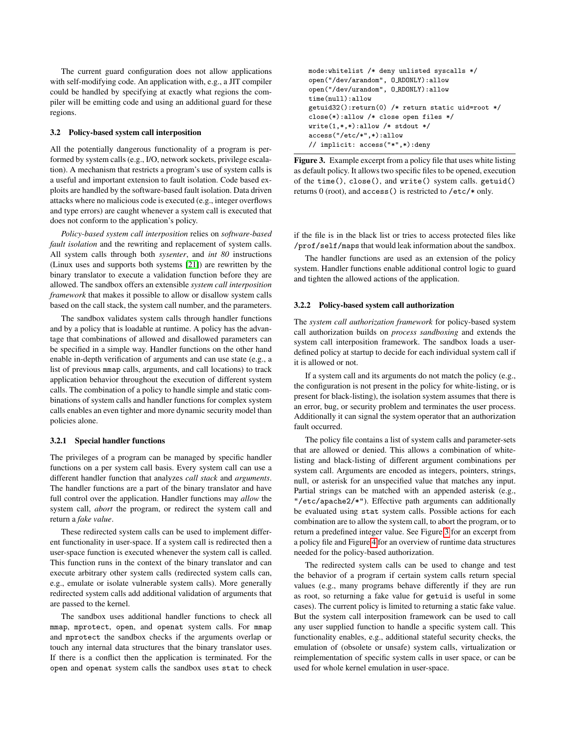The current guard configuration does not allow applications with self-modifying code. An application with, e.g., a JIT compiler could be handled by specifying at exactly what regions the compiler will be emitting code and using an additional guard for these regions.

## 3.2 Policy-based system call interposition

All the potentially dangerous functionality of a program is performed by system calls (e.g., I/O, network sockets, privilege escalation). A mechanism that restricts a program's use of system calls is a useful and important extension to fault isolation. Code based exploits are handled by the software-based fault isolation. Data driven attacks where no malicious code is executed (e.g., integer overflows and type errors) are caught whenever a system call is executed that does not conform to the application's policy.

*Policy-based system call interposition* relies on *software-based fault isolation* and the rewriting and replacement of system calls. All system calls through both *sysenter*, and *int 80* instructions (Linux uses and supports both systems [\[21\]](#page-11-7)) are rewritten by the binary translator to execute a validation function before they are allowed. The sandbox offers an extensible *system call interposition framework* that makes it possible to allow or disallow system calls based on the call stack, the system call number, and the parameters.

The sandbox validates system calls through handler functions and by a policy that is loadable at runtime. A policy has the advantage that combinations of allowed and disallowed parameters can be specified in a simple way. Handler functions on the other hand enable in-depth verification of arguments and can use state (e.g., a list of previous mmap calls, arguments, and call locations) to track application behavior throughout the execution of different system calls. The combination of a policy to handle simple and static combinations of system calls and handler functions for complex system calls enables an even tighter and more dynamic security model than policies alone.

#### 3.2.1 Special handler functions

The privileges of a program can be managed by specific handler functions on a per system call basis. Every system call can use a different handler function that analyzes *call stack* and *arguments*. The handler functions are a part of the binary translator and have full control over the application. Handler functions may *allow* the system call, *abort* the program, or redirect the system call and return a *fake value*.

These redirected system calls can be used to implement different functionality in user-space. If a system call is redirected then a user-space function is executed whenever the system call is called. This function runs in the context of the binary translator and can execute arbitrary other system calls (redirected system calls can, e.g., emulate or isolate vulnerable system calls). More generally redirected system calls add additional validation of arguments that are passed to the kernel.

The sandbox uses additional handler functions to check all mmap, mprotect, open, and openat system calls. For mmap and mprotect the sandbox checks if the arguments overlap or touch any internal data structures that the binary translator uses. If there is a conflict then the application is terminated. For the open and openat system calls the sandbox uses stat to check

```
mode:whitelist /* deny unlisted syscalls */
open("/dev/arandom", O RDONLY):allow
open("/dev/urandom", O RDONLY):allow
time(null):allow
getuid32():return(0) /* return static uid=root */
close(*):allow /* close open files */
write(1,*,*):allow /* stdout */
access("/etc/*",*):allow
// implicit: access("*",*):deny
```
<span id="page-4-0"></span>Figure 3. Example excerpt from a policy file that uses white listing as default policy. It allows two specific files to be opened, execution of the time(), close(), and write() system calls. getuid() returns 0 (root), and access() is restricted to /etc/\* only.

if the file is in the black list or tries to access protected files like /prof/self/maps that would leak information about the sandbox.

The handler functions are used as an extension of the policy system. Handler functions enable additional control logic to guard and tighten the allowed actions of the application.

#### 3.2.2 Policy-based system call authorization

The *system call authorization framework* for policy-based system call authorization builds on *process sandboxing* and extends the system call interposition framework. The sandbox loads a userdefined policy at startup to decide for each individual system call if it is allowed or not.

If a system call and its arguments do not match the policy (e.g., the configuration is not present in the policy for white-listing, or is present for black-listing), the isolation system assumes that there is an error, bug, or security problem and terminates the user process. Additionally it can signal the system operator that an authorization fault occurred.

The policy file contains a list of system calls and parameter-sets that are allowed or denied. This allows a combination of whitelisting and black-listing of different argument combinations per system call. Arguments are encoded as integers, pointers, strings, null, or asterisk for an unspecified value that matches any input. Partial strings can be matched with an appended asterisk (e.g., "/etc/apache2/\*"). Effective path arguments can additionally be evaluated using stat system calls. Possible actions for each combination are to allow the system call, to abort the program, or to return a predefined integer value. See Figure [3](#page-4-0) for an excerpt from a policy file and Figure [4](#page-5-1) for an overview of runtime data structures needed for the policy-based authorization.

The redirected system calls can be used to change and test the behavior of a program if certain system calls return special values (e.g., many programs behave differently if they are run as root, so returning a fake value for getuid is useful in some cases). The current policy is limited to returning a static fake value. But the system call interposition framework can be used to call any user supplied function to handle a specific system call. This functionality enables, e.g., additional stateful security checks, the emulation of (obsolete or unsafe) system calls, virtualization or reimplementation of specific system calls in user space, or can be used for whole kernel emulation in user-space.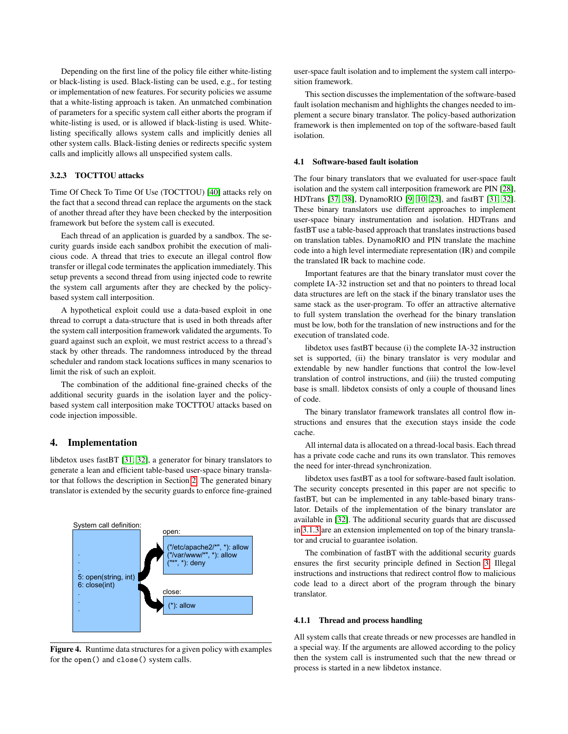Depending on the first line of the policy file either white-listing or black-listing is used. Black-listing can be used, e.g., for testing or implementation of new features. For security policies we assume that a white-listing approach is taken. An unmatched combination of parameters for a specific system call either aborts the program if white-listing is used, or is allowed if black-listing is used. Whitelisting specifically allows system calls and implicitly denies all other system calls. Black-listing denies or redirects specific system calls and implicitly allows all unspecified system calls.

## 3.2.3 TOCTTOU attacks

Time Of Check To Time Of Use (TOCTTOU) [\[40\]](#page-11-8) attacks rely on the fact that a second thread can replace the arguments on the stack of another thread after they have been checked by the interposition framework but before the system call is executed.

Each thread of an application is guarded by a sandbox. The security guards inside each sandbox prohibit the execution of malicious code. A thread that tries to execute an illegal control flow transfer or illegal code terminates the application immediately. This setup prevents a second thread from using injected code to rewrite the system call arguments after they are checked by the policybased system call interposition.

A hypothetical exploit could use a data-based exploit in one thread to corrupt a data-structure that is used in both threads after the system call interposition framework validated the arguments. To guard against such an exploit, we must restrict access to a thread's stack by other threads. The randomness introduced by the thread scheduler and random stack locations suffices in many scenarios to limit the risk of such an exploit.

The combination of the additional fine-grained checks of the additional security guards in the isolation layer and the policybased system call interposition make TOCTTOU attacks based on code injection impossible.

# <span id="page-5-0"></span>4. Implementation

libdetox uses fastBT [\[31,](#page-11-9) [32\]](#page-11-10), a generator for binary translators to generate a lean and efficient table-based user-space binary translator that follows the description in Section [2.](#page-1-1) The generated binary translator is extended by the security guards to enforce fine-grained



<span id="page-5-1"></span>Figure 4. Runtime data structures for a given policy with examples for the open() and close() system calls.

user-space fault isolation and to implement the system call interposition framework.

This section discusses the implementation of the software-based fault isolation mechanism and highlights the changes needed to implement a secure binary translator. The policy-based authorization framework is then implemented on top of the software-based fault isolation.

#### 4.1 Software-based fault isolation

The four binary translators that we evaluated for user-space fault isolation and the system call interposition framework are PIN [\[28\]](#page-11-11), HDTrans [\[37,](#page-11-12) [38\]](#page-11-13), DynamoRIO [\[9,](#page-11-14) [10,](#page-11-15) [23\]](#page-11-16), and fastBT [\[31,](#page-11-9) [32\]](#page-11-10). These binary translators use different approaches to implement user-space binary instrumentation and isolation. HDTrans and fastBT use a table-based approach that translates instructions based on translation tables. DynamoRIO and PIN translate the machine code into a high level intermediate representation (IR) and compile the translated IR back to machine code.

Important features are that the binary translator must cover the complete IA-32 instruction set and that no pointers to thread local data structures are left on the stack if the binary translator uses the same stack as the user-program. To offer an attractive alternative to full system translation the overhead for the binary translation must be low, both for the translation of new instructions and for the execution of translated code.

libdetox uses fastBT because (i) the complete IA-32 instruction set is supported, (ii) the binary translator is very modular and extendable by new handler functions that control the low-level translation of control instructions, and (iii) the trusted computing base is small. libdetox consists of only a couple of thousand lines of code.

The binary translator framework translates all control flow instructions and ensures that the execution stays inside the code cache.

All internal data is allocated on a thread-local basis. Each thread has a private code cache and runs its own translator. This removes the need for inter-thread synchronization.

libdetox uses fastBT as a tool for software-based fault isolation. The security concepts presented in this paper are not specific to fastBT, but can be implemented in any table-based binary translator. Details of the implementation of the binary translator are available in [\[32\]](#page-11-10). The additional security guards that are discussed in [3.1.3](#page-3-0) are an extension implemented on top of the binary translator and crucial to guarantee isolation.

The combination of fastBT with the additional security guards ensures the first security principle defined in Section [3.](#page-2-0) Illegal instructions and instructions that redirect control flow to malicious code lead to a direct abort of the program through the binary translator.

#### 4.1.1 Thread and process handling

All system calls that create threads or new processes are handled in a special way. If the arguments are allowed according to the policy then the system call is instrumented such that the new thread or process is started in a new libdetox instance.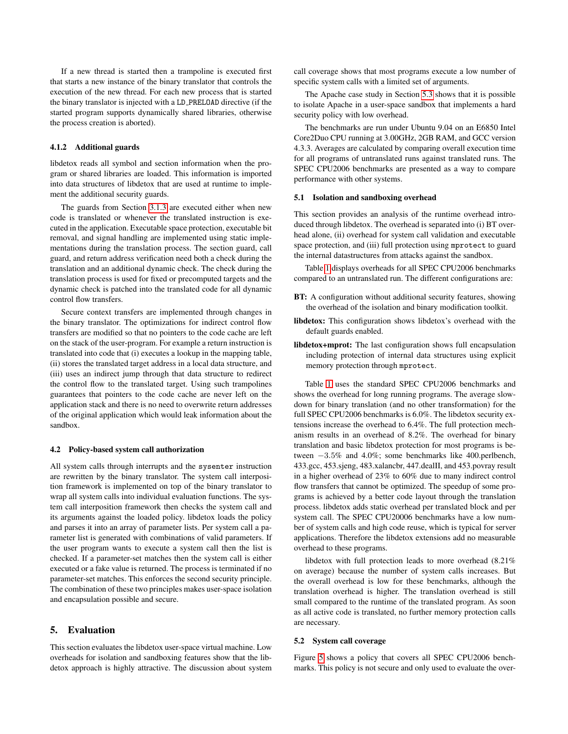If a new thread is started then a trampoline is executed first that starts a new instance of the binary translator that controls the execution of the new thread. For each new process that is started the binary translator is injected with a LD PRELOAD directive (if the started program supports dynamically shared libraries, otherwise the process creation is aborted).

# 4.1.2 Additional guards

libdetox reads all symbol and section information when the program or shared libraries are loaded. This information is imported into data structures of libdetox that are used at runtime to implement the additional security guards.

The guards from Section [3.1.3](#page-3-0) are executed either when new code is translated or whenever the translated instruction is executed in the application. Executable space protection, executable bit removal, and signal handling are implemented using static implementations during the translation process. The section guard, call guard, and return address verification need both a check during the translation and an additional dynamic check. The check during the translation process is used for fixed or precomputed targets and the dynamic check is patched into the translated code for all dynamic control flow transfers.

Secure context transfers are implemented through changes in the binary translator. The optimizations for indirect control flow transfers are modified so that no pointers to the code cache are left on the stack of the user-program. For example a return instruction is translated into code that (i) executes a lookup in the mapping table, (ii) stores the translated target address in a local data structure, and (iii) uses an indirect jump through that data structure to redirect the control flow to the translated target. Using such trampolines guarantees that pointers to the code cache are never left on the application stack and there is no need to overwrite return addresses of the original application which would leak information about the sandbox.

#### 4.2 Policy-based system call authorization

All system calls through interrupts and the sysenter instruction are rewritten by the binary translator. The system call interposition framework is implemented on top of the binary translator to wrap all system calls into individual evaluation functions. The system call interposition framework then checks the system call and its arguments against the loaded policy. libdetox loads the policy and parses it into an array of parameter lists. Per system call a parameter list is generated with combinations of valid parameters. If the user program wants to execute a system call then the list is checked. If a parameter-set matches then the system call is either executed or a fake value is returned. The process is terminated if no parameter-set matches. This enforces the second security principle. The combination of these two principles makes user-space isolation and encapsulation possible and secure.

# <span id="page-6-0"></span>5. Evaluation

This section evaluates the libdetox user-space virtual machine. Low overheads for isolation and sandboxing features show that the libdetox approach is highly attractive. The discussion about system

call coverage shows that most programs execute a low number of specific system calls with a limited set of arguments.

The Apache case study in Section [5.3](#page-8-0) shows that it is possible to isolate Apache in a user-space sandbox that implements a hard security policy with low overhead.

The benchmarks are run under Ubuntu 9.04 on an E6850 Intel Core2Duo CPU running at 3.00GHz, 2GB RAM, and GCC version 4.3.3. Averages are calculated by comparing overall execution time for all programs of untranslated runs against translated runs. The SPEC CPU2006 benchmarks are presented as a way to compare performance with other systems.

## <span id="page-6-1"></span>5.1 Isolation and sandboxing overhead

This section provides an analysis of the runtime overhead introduced through libdetox. The overhead is separated into (i) BT overhead alone, (ii) overhead for system call validation and executable space protection, and (iii) full protection using mprotect to guard the internal datastructures from attacks against the sandbox.

Table [1](#page-7-0) displays overheads for all SPEC CPU2006 benchmarks compared to an untranslated run. The different configurations are:

- BT: A configuration without additional security features, showing the overhead of the isolation and binary modification toolkit.
- libdetox: This configuration shows libdetox's overhead with the default guards enabled.
- libdetox+mprot: The last configuration shows full encapsulation including protection of internal data structures using explicit memory protection through mprotect.

Table [1](#page-7-0) uses the standard SPEC CPU2006 benchmarks and shows the overhead for long running programs. The average slowdown for binary translation (and no other transformation) for the full SPEC CPU2006 benchmarks is 6.0%. The libdetox security extensions increase the overhead to 6.4%. The full protection mechanism results in an overhead of 8.2%. The overhead for binary translation and basic libdetox protection for most programs is between −3.5% and 4.0%; some benchmarks like 400.perlbench, 433.gcc, 453.sjeng, 483.xalancbr, 447.dealII, and 453.povray result in a higher overhead of 23% to 60% due to many indirect control flow transfers that cannot be optimized. The speedup of some programs is achieved by a better code layout through the translation process. libdetox adds static overhead per translated block and per system call. The SPEC CPU20006 benchmarks have a low number of system calls and high code reuse, which is typical for server applications. Therefore the libdetox extensions add no measurable overhead to these programs.

libdetox with full protection leads to more overhead (8.21% on average) because the number of system calls increases. But the overall overhead is low for these benchmarks, although the translation overhead is higher. The translation overhead is still small compared to the runtime of the translated program. As soon as all active code is translated, no further memory protection calls are necessary.

# 5.2 System call coverage

Figure [5](#page-7-1) shows a policy that covers all SPEC CPU2006 benchmarks. This policy is not secure and only used to evaluate the over-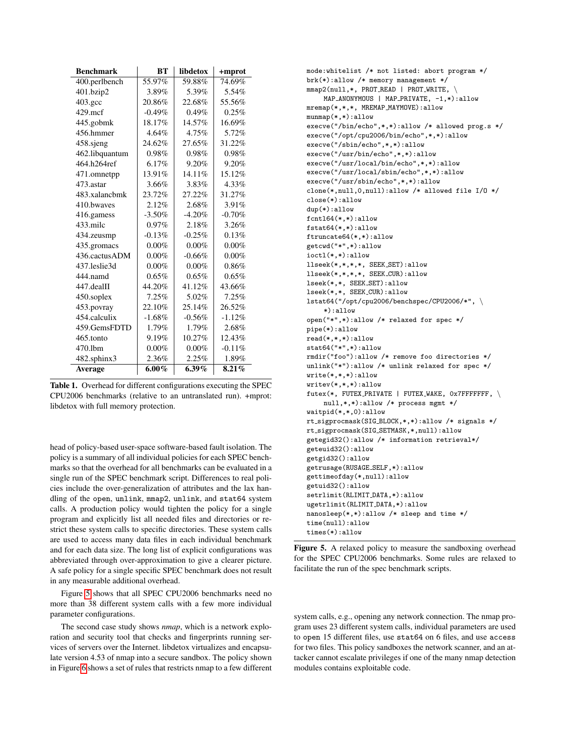| <b>Benchmark</b>  | RT       | libdetox | +mprot    |
|-------------------|----------|----------|-----------|
| 400.perlbench     | 55.97%   | 59.88%   | 74.69%    |
| 401.bzip2         | 3.89%    | 5.39%    | 5.54%     |
| $403.\text{gcc}$  | 20.86%   | 22.68%   | 55.56%    |
| $429$ mcf         | $-0.49%$ | 0.49%    | 0.25%     |
| 445.gobmk         | 18.17%   | 14.57%   | 16.69%    |
| 456.hmmer         | 4.64%    | 4.75%    | 5.72%     |
| 458.sjeng         | 24.62%   | 27.65%   | 31.22%    |
| 462.libquantum    | 0.98%    | 0.98%    | 0.98%     |
| 464.h264ref       | $6.17\%$ | 9.20%    | 9.20%     |
| 471.omnetpp       | 13.91%   | 14.11%   | 15.12%    |
| 473.astar         | 3.66%    | 3.83%    | 4.33%     |
| 483 xalanchmk     | 23.72%   | 27.22%   | 31.27%    |
| 410.bwayes        | 2.12%    | 2.68%    | 3.91%     |
| 416.gamess        | $-3.50%$ | $-4.20%$ | $-0.70%$  |
| 433.milc          | $0.97\%$ | 2.18%    | 3.26%     |
| 434.zeusmp        | $-0.13%$ | $-0.25%$ | 0.13%     |
| 435.gromacs       | $0.00\%$ | $0.00\%$ | $0.00\%$  |
| 436.cactusADM     | $0.00\%$ | $-0.66%$ | $0.00\%$  |
| 437.leslie3d      | $0.00\%$ | $0.00\%$ | 0.86%     |
| 444 namd          | $0.65\%$ | $0.65\%$ | 0.65%     |
| 447.dealII        | 44.20%   | 41.12%   | 43.66%    |
| 450.soplex        | 7.25%    | 5.02%    | 7.25%     |
| 453.povray        | 22.10%   | 25.14%   | 26.52%    |
| 454.calculix      | -1.68%   | $-0.56%$ | $-1.12\%$ |
| 459.GemsFDTD      | 1.79%    | 1.79%    | 2.68%     |
| 465.tonto         | 9.19%    | 10.27%   | 12.43%    |
| 470.1bm           | $0.00\%$ | $0.00\%$ | $-0.11%$  |
| $482$ .sphinx $3$ | 2.36%    | 2.25%    | 1.89%     |
| <b>Average</b>    | $6.00\%$ | $6.39\%$ | 8.21%     |

<span id="page-7-0"></span>Table 1. Overhead for different configurations executing the SPEC CPU2006 benchmarks (relative to an untranslated run). +mprot: libdetox with full memory protection.

head of policy-based user-space software-based fault isolation. The policy is a summary of all individual policies for each SPEC benchmarks so that the overhead for all benchmarks can be evaluated in a single run of the SPEC benchmark script. Differences to real policies include the over-generalization of attributes and the lax handling of the open, unlink, mmap2, unlink, and stat64 system calls. A production policy would tighten the policy for a single program and explicitly list all needed files and directories or restrict these system calls to specific directories. These system calls are used to access many data files in each individual benchmark and for each data size. The long list of explicit configurations was abbreviated through over-approximation to give a clearer picture. A safe policy for a single specific SPEC benchmark does not result in any measurable additional overhead.

Figure [5](#page-7-1) shows that all SPEC CPU2006 benchmarks need no more than 38 different system calls with a few more individual parameter configurations.

The second case study shows *nmap*, which is a network exploration and security tool that checks and fingerprints running services of servers over the Internet. libdetox virtualizes and encapsulate version 4.53 of nmap into a secure sandbox. The policy shown in Figure [6](#page-8-1) shows a set of rules that restricts nmap to a few different

```
mode:whitelist /* not listed: abort program */
brk(*):allow /* memory management */
mmap2(null,*, PROT_READ | PROT_WRITE, \
    MAP_ANONYMOUS | MAP_PRIVATE, -1,*):allow
mremap(*,*,*, MREMAP MAYMOVE):allow
munmap(*,*):allow
execve("/bin/echo",*,*):allow /* allowed prog.s */
execve("/opt/cpu2006/bin/echo",*,*):allow
execve("/sbin/echo",*,*):allow
execve("/usr/bin/echo",*,*):allow
execve("/usr/local/bin/echo",*,*):allow
execve("/usr/local/sbin/echo",*,*):allow
execve("/usr/sbin/echo",*,*):allow
clone(*,null,0,null):allow /* allowed file I/O */
close(*):allow
dup(*):allow
fcntl64(*,*):allow
fstat64(*,*):allow
ftruncate64(*,*):allow
getcwd("*",*):allow
ioctl(*,*):allow
llseek(*,*,*,*, SEEK SET):allow
llseek(*,*,*,*, SEEK CUR):allow
lseek(*,*, SEEK SET):allow
lseek(*,*, SEEK CUR):allow
lstat64("/opt/cpu2006/benchspec/CPU2006/*", \
    *):allow
open("*",*):allow /* relaxed for spec */
pipe(*):allow
read(*,*,*):allow
stat64("*",*):allow
rmdir("foo"):allow /* remove foo directories */
unlink("*"):allow /* unlink relaxed for spec */
write(*,*,*):allow
writev(*,*,*):allow
futes(*, FUTEX\_PRIVATE | FUTEX\_WAKE, 0x7FFFFFF, \ \ \ranglenull,*,*):allow /* process mgmt */
waitpid(*,*,0):allow
rt sigprocmask(SIG BLOCK,*,*):allow /* signals */
rt sigprocmask(SIG SETMASK,*,null):allow
getegid32():allow /* information retrieval*/
geteuid32():allow
getgid32():allow
getrusage(RUSAGE SELF,*):allow
gettimeofday(*,null):allow
getuid32():allow
setrlimit(RLIMIT_DATA,*):allow
ugetrlimit(RLIMIT DATA,*):allow
nanosleep(*,*):allow /* sleep and time */
time(null):allow
times(*):allow
```
<span id="page-7-1"></span>Figure 5. A relaxed policy to measure the sandboxing overhead for the SPEC CPU2006 benchmarks. Some rules are relaxed to facilitate the run of the spec benchmark scripts.

system calls, e.g., opening any network connection. The nmap program uses 23 different system calls, individual parameters are used to open 15 different files, use stat64 on 6 files, and use access for two files. This policy sandboxes the network scanner, and an attacker cannot escalate privileges if one of the many nmap detection modules contains exploitable code.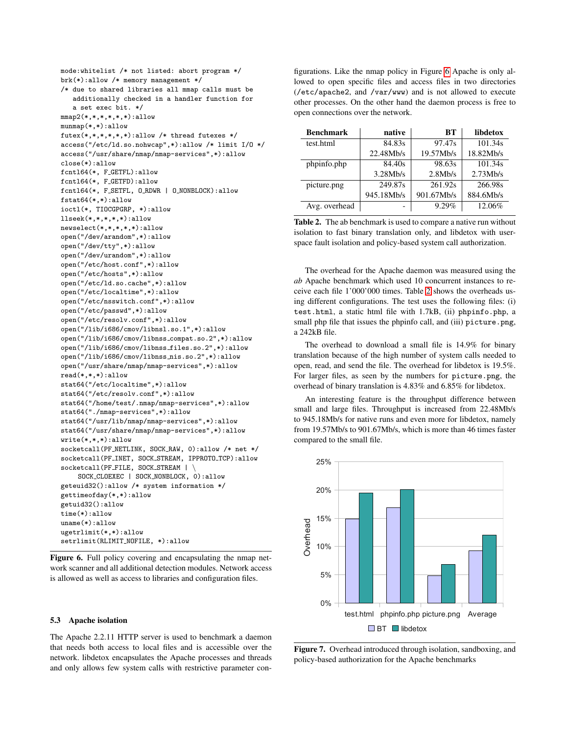```
mode:whitelist /* not listed: abort program */
brk(*):allow /* memory management */
/* due to shared libraries all mmap calls must be
   additionally checked in a handler function for
   a set exec bit. */
mmap2(*,*,*,*,*,*):allow
munmap(*,*):allow
futex(*,*,*,*,*,*):allow /* thread futexes */
access("/etc/ld.so.nohwcap",*):allow /* limit I/O */
access("/usr/share/nmap/nmap-services",*):allow
close(*):allow
fcntl64(*, F_GETFL):allow
fcntl64(*, F GETFD):allow
fcntl64(*, F SETFL, O RDWR | O NONBLOCK):allow
fstat64(*,*):allow
ioctl(*, TIOCGPGRP, *):allow
llseek(*,*,*,*,*):allow
newselect(*,*,*,*,*):allow
open("/dev/arandom",*):allow
open("/dev/tty",*):allow
open("/dev/urandom",*):allow
open("/etc/host.conf",*):allow
open("/etc/hosts",*):allow
open("/etc/ld.so.cache",*):allow
open("/etc/localtime",*):allow
open("/etc/nsswitch.conf",*):allow
open("/etc/passwd",*):allow
open("/etc/resolv.conf",*):allow
open("/lib/i686/cmov/libnsl.so.1",*):allow
open("/lib/i686/cmov/libnss compat.so.2",*):allow
open("/lib/i686/cmov/libnss files.so.2",*):allow
open("/lib/i686/cmov/libnss nis.so.2",*):allow
open("/usr/share/nmap/nmap-services",*):allow
read(*,*,*):allow
stat64("/etc/localtime",*):allow
stat64("/etc/resolv.conf",*):allow
stat64("/home/test/.nmap/nmap-services",*):allow
stat64("./nmap-services",*):allow
stat64("/usr/lib/nmap/nmap-services",*):allow
stat64("/usr/share/nmap/nmap-services",*):allow
write(*,*,*):allow
socketcall(PF NETLINK, SOCK RAW, 0):allow /* net */
socketcall(PF INET, SOCK STREAM, IPPROTO TCP):allow
socketcall(PF_FILE, SOCK_STREAM | \
    SOCK CLOEXEC | SOCK NONBLOCK, 0):allow
geteuid32():allow /* system information */
gettimeofday(*,*):allow
getuid32():allow
time(*):allow
uname(*):allow
ugetrlimit(*,*):allow
setrlimit(RLIMIT_NOFILE, *):allow
```
<span id="page-8-1"></span>Figure 6. Full policy covering and encapsulating the nmap network scanner and all additional detection modules. Network access is allowed as well as access to libraries and configuration files.

#### <span id="page-8-0"></span>5.3 Apache isolation

The Apache 2.2.11 HTTP server is used to benchmark a daemon that needs both access to local files and is accessible over the network. libdetox encapsulates the Apache processes and threads and only allows few system calls with restrictive parameter con-

figurations. Like the nmap policy in Figure [6](#page-8-1) Apache is only allowed to open specific files and access files in two directories (/etc/apache2, and /var/www) and is not allowed to execute other processes. On the other hand the daemon process is free to open connections over the network.

| <b>Benchmark</b> | native     | BТ         | libdetox  |
|------------------|------------|------------|-----------|
| test.html        | 84.83s     | 97.47s     | 101.34s   |
|                  | 22.48Mb/s  | 19.57Mb/s  | 18.82Mb/s |
| phpinfo.php      | 84.40s     | 98.63s     | 101.34s   |
|                  | 3.28Mb/s   | 2.8Mb/s    | 2.73Mb/s  |
| picture.png      | 249.87s    | 261.92s    | 266.98s   |
|                  | 945.18Mb/s | 901.67Mb/s | 884.6Mb/s |
| Avg. overhead    |            | 9.29%      | 12.06%    |

<span id="page-8-2"></span>Table 2. The ab benchmark is used to compare a native run without isolation to fast binary translation only, and libdetox with userspace fault isolation and policy-based system call authorization.

The overhead for the Apache daemon was measured using the *ab* Apache benchmark which used 10 concurrent instances to receive each file 1'000'000 times. Table [2](#page-8-2) shows the overheads using different configurations. The test uses the following files: (i) test.html, a static html file with 1.7kB, (ii) phpinfo.php, a small php file that issues the phpinfo call, and (iii) picture.png, a 242kB file.

The overhead to download a small file is 14.9% for binary translation because of the high number of system calls needed to open, read, and send the file. The overhead for libdetox is 19.5%. For larger files, as seen by the numbers for picture.png, the overhead of binary translation is 4.83% and 6.85% for libdetox.

An interesting feature is the throughput difference between small and large files. Throughput is increased from 22.48Mb/s to 945.18Mb/s for native runs and even more for libdetox, namely from 19.57Mb/s to 901.67Mb/s, which is more than 46 times faster compared to the small file.



<span id="page-8-3"></span>Figure 7. Overhead introduced through isolation, sandboxing, and policy-based authorization for the Apache benchmarks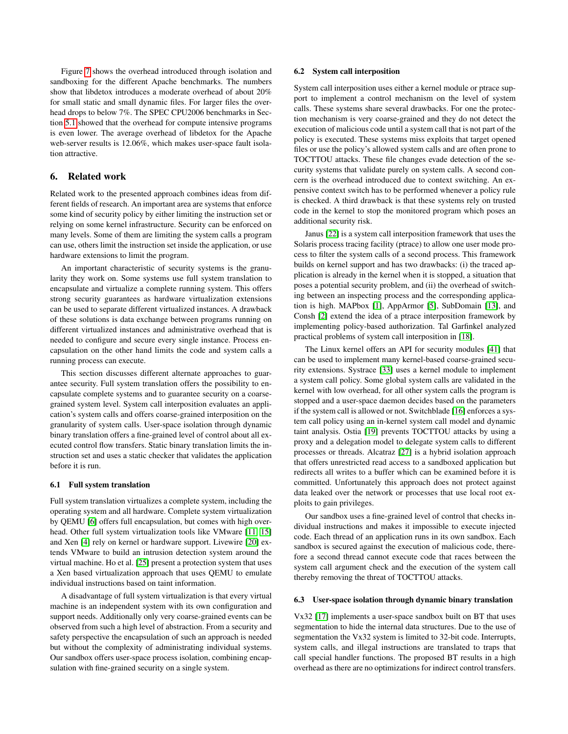Figure [7](#page-8-3) shows the overhead introduced through isolation and sandboxing for the different Apache benchmarks. The numbers show that libdetox introduces a moderate overhead of about 20% for small static and small dynamic files. For larger files the overhead drops to below 7%. The SPEC CPU2006 benchmarks in Section [5.1](#page-6-1) showed that the overhead for compute intensive programs is even lower. The average overhead of libdetox for the Apache web-server results is 12.06%, which makes user-space fault isolation attractive.

# 6. Related work

Related work to the presented approach combines ideas from different fields of research. An important area are systems that enforce some kind of security policy by either limiting the instruction set or relying on some kernel infrastructure. Security can be enforced on many levels. Some of them are limiting the system calls a program can use, others limit the instruction set inside the application, or use hardware extensions to limit the program.

An important characteristic of security systems is the granularity they work on. Some systems use full system translation to encapsulate and virtualize a complete running system. This offers strong security guarantees as hardware virtualization extensions can be used to separate different virtualized instances. A drawback of these solutions is data exchange between programs running on different virtualized instances and administrative overhead that is needed to configure and secure every single instance. Process encapsulation on the other hand limits the code and system calls a running process can execute.

This section discusses different alternate approaches to guarantee security. Full system translation offers the possibility to encapsulate complete systems and to guarantee security on a coarsegrained system level. System call interposition evaluates an application's system calls and offers coarse-grained interposition on the granularity of system calls. User-space isolation through dynamic binary translation offers a fine-grained level of control about all executed control flow transfers. Static binary translation limits the instruction set and uses a static checker that validates the application before it is run.

## 6.1 Full system translation

Full system translation virtualizes a complete system, including the operating system and all hardware. Complete system virtualization by QEMU [\[6\]](#page-10-1) offers full encapsulation, but comes with high overhead. Other full system virtualization tools like VMware [\[11,](#page-11-17) [15\]](#page-11-18) and Xen [\[4\]](#page-10-2) rely on kernel or hardware support. Livewire [\[20\]](#page-11-19) extends VMware to build an intrusion detection system around the virtual machine. Ho et al. [\[25\]](#page-11-20) present a protection system that uses a Xen based virtualization approach that uses QEMU to emulate individual instructions based on taint information.

A disadvantage of full system virtualization is that every virtual machine is an independent system with its own configuration and support needs. Additionally only very coarse-grained events can be observed from such a high level of abstraction. From a security and safety perspective the encapsulation of such an approach is needed but without the complexity of administrating individual systems. Our sandbox offers user-space process isolation, combining encapsulation with fine-grained security on a single system.

#### 6.2 System call interposition

System call interposition uses either a kernel module or ptrace support to implement a control mechanism on the level of system calls. These systems share several drawbacks. For one the protection mechanism is very coarse-grained and they do not detect the execution of malicious code until a system call that is not part of the policy is executed. These systems miss exploits that target opened files or use the policy's allowed system calls and are often prone to TOCTTOU attacks. These file changes evade detection of the security systems that validate purely on system calls. A second concern is the overhead introduced due to context switching. An expensive context switch has to be performed whenever a policy rule is checked. A third drawback is that these systems rely on trusted code in the kernel to stop the monitored program which poses an additional security risk.

Janus [\[22\]](#page-11-21) is a system call interposition framework that uses the Solaris process tracing facility (ptrace) to allow one user mode process to filter the system calls of a second process. This framework builds on kernel support and has two drawbacks: (i) the traced application is already in the kernel when it is stopped, a situation that poses a potential security problem, and (ii) the overhead of switching between an inspecting process and the corresponding application is high. MAPbox [\[1\]](#page-10-3), AppArmor [\[5\]](#page-10-4), SubDomain [\[13\]](#page-11-22), and Consh [\[2\]](#page-10-5) extend the idea of a ptrace interposition framework by implementing policy-based authorization. Tal Garfinkel analyzed practical problems of system call interposition in [\[18\]](#page-11-23).

The Linux kernel offers an API for security modules [\[41\]](#page-11-24) that can be used to implement many kernel-based coarse-grained security extensions. Systrace [\[33\]](#page-11-25) uses a kernel module to implement a system call policy. Some global system calls are validated in the kernel with low overhead, for all other system calls the program is stopped and a user-space daemon decides based on the parameters if the system call is allowed or not. Switchblade [\[16\]](#page-11-26) enforces a system call policy using an in-kernel system call model and dynamic taint analysis. Ostia [\[19\]](#page-11-27) prevents TOCTTOU attacks by using a proxy and a delegation model to delegate system calls to different processes or threads. Alcatraz [\[27\]](#page-11-28) is a hybrid isolation approach that offers unrestricted read access to a sandboxed application but redirects all writes to a buffer which can be examined before it is committed. Unfortunately this approach does not protect against data leaked over the network or processes that use local root exploits to gain privileges.

Our sandbox uses a fine-grained level of control that checks individual instructions and makes it impossible to execute injected code. Each thread of an application runs in its own sandbox. Each sandbox is secured against the execution of malicious code, therefore a second thread cannot execute code that races between the system call argument check and the execution of the system call thereby removing the threat of TOCTTOU attacks.

#### 6.3 User-space isolation through dynamic binary translation

Vx32 [\[17\]](#page-11-29) implements a user-space sandbox built on BT that uses segmentation to hide the internal data structures. Due to the use of segmentation the Vx32 system is limited to 32-bit code. Interrupts, system calls, and illegal instructions are translated to traps that call special handler functions. The proposed BT results in a high overhead as there are no optimizations for indirect control transfers.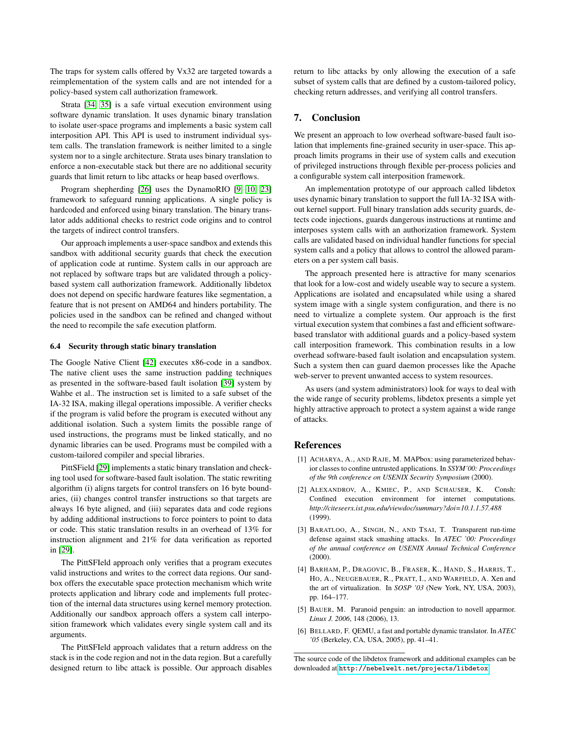The traps for system calls offered by Vx32 are targeted towards a reimplementation of the system calls and are not intended for a policy-based system call authorization framework.

Strata [\[34,](#page-11-30) [35\]](#page-11-31) is a safe virtual execution environment using software dynamic translation. It uses dynamic binary translation to isolate user-space programs and implements a basic system call interposition API. This API is used to instrument individual system calls. The translation framework is neither limited to a single system nor to a single architecture. Strata uses binary translation to enforce a non-executable stack but there are no additional security guards that limit return to libc attacks or heap based overflows.

Program shepherding [\[26\]](#page-11-32) uses the DynamoRIO [\[9,](#page-11-14) [10,](#page-11-15) [23\]](#page-11-16) framework to safeguard running applications. A single policy is hardcoded and enforced using binary translation. The binary translator adds additional checks to restrict code origins and to control the targets of indirect control transfers.

Our approach implements a user-space sandbox and extends this sandbox with additional security guards that check the execution of application code at runtime. System calls in our approach are not replaced by software traps but are validated through a policybased system call authorization framework. Additionally libdetox does not depend on specific hardware features like segmentation, a feature that is not present on AMD64 and hinders portability. The policies used in the sandbox can be refined and changed without the need to recompile the safe execution platform.

#### 6.4 Security through static binary translation

The Google Native Client [\[42\]](#page-11-33) executes x86-code in a sandbox. The native client uses the same instruction padding techniques as presented in the software-based fault isolation [\[39\]](#page-11-34) system by Wahbe et al.. The instruction set is limited to a safe subset of the IA-32 ISA, making illegal operations impossible. A verifier checks if the program is valid before the program is executed without any additional isolation. Such a system limits the possible range of used instructions, the programs must be linked statically, and no dynamic libraries can be used. Programs must be compiled with a custom-tailored compiler and special libraries.

PittSField [\[29\]](#page-11-35) implements a static binary translation and checking tool used for software-based fault isolation. The static rewriting algorithm (i) aligns targets for control transfers on 16 byte boundaries, (ii) changes control transfer instructions so that targets are always 16 byte aligned, and (iii) separates data and code regions by adding additional instructions to force pointers to point to data or code. This static translation results in an overhead of 13% for instruction alignment and 21% for data verification as reported in [\[29\]](#page-11-35).

The PittSFIeld approach only verifies that a program executes valid instructions and writes to the correct data regions. Our sandbox offers the executable space protection mechanism which write protects application and library code and implements full protection of the internal data structures using kernel memory protection. Additionally our sandbox approach offers a system call interposition framework which validates every single system call and its arguments.

The PittSFIeld approach validates that a return address on the stack is in the code region and not in the data region. But a carefully designed return to libc attack is possible. Our approach disables return to libc attacks by only allowing the execution of a safe subset of system calls that are defined by a custom-tailored policy, checking return addresses, and verifying all control transfers.

# 7. Conclusion

We present an approach to low overhead software-based fault isolation that implements fine-grained security in user-space. This approach limits programs in their use of system calls and execution of privileged instructions through flexible per-process policies and a configurable system call interposition framework.

An implementation prototype of our approach called libdetox uses dynamic binary translation to support the full IA-32 ISA without kernel support. Full binary translation adds security guards, detects code injections, guards dangerous instructions at runtime and interposes system calls with an authorization framework. System calls are validated based on individual handler functions for special system calls and a policy that allows to control the allowed parameters on a per system call basis.

The approach presented here is attractive for many scenarios that look for a low-cost and widely useable way to secure a system. Applications are isolated and encapsulated while using a shared system image with a single system configuration, and there is no need to virtualize a complete system. Our approach is the first virtual execution system that combines a fast and efficient softwarebased translator with additional guards and a policy-based system call interposition framework. This combination results in a low overhead software-based fault isolation and encapsulation system. Such a system then can guard daemon processes like the Apache web-server to prevent unwanted access to system resources.

As users (and system administrators) look for ways to deal with the wide range of security problems, libdetox presents a simple yet highly attractive approach to protect a system against a wide range of attacks.

# **References**

- <span id="page-10-3"></span>[1] ACHARYA, A., AND RAJE, M. MAPbox: using parameterized behavior classes to confine untrusted applications. In *SSYM'00: Proceedings of the 9th conference on USENIX Security Symposium* (2000).
- <span id="page-10-5"></span>[2] ALEXANDROV, A., KMIEC, P., AND SCHAUSER, K. Consh: Confined execution environment for internet computations. *http://citeseerx.ist.psu.edu/viewdoc/summary?doi=10.1.1.57.488* (1999).
- <span id="page-10-0"></span>[3] BARATLOO, A., SINGH, N., AND TSAI, T. Transparent run-time defense against stack smashing attacks. In *ATEC '00: Proceedings of the annual conference on USENIX Annual Technical Conference* (2000).
- <span id="page-10-2"></span>[4] BARHAM, P., DRAGOVIC, B., FRASER, K., HAND, S., HARRIS, T., HO, A., NEUGEBAUER, R., PRATT, I., AND WARFIELD, A. Xen and the art of virtualization. In *SOSP '03* (New York, NY, USA, 2003), pp. 164–177.
- <span id="page-10-4"></span>[5] BAUER, M. Paranoid penguin: an introduction to novell apparmor. *Linux J. 2006*, 148 (2006), 13.
- <span id="page-10-1"></span>[6] BELLARD, F. QEMU, a fast and portable dynamic translator. In *ATEC '05* (Berkeley, CA, USA, 2005), pp. 41–41.

The source code of the libdetox framework and additional examples can be downloaded at <http://nebelwelt.net/projects/libdetox>.